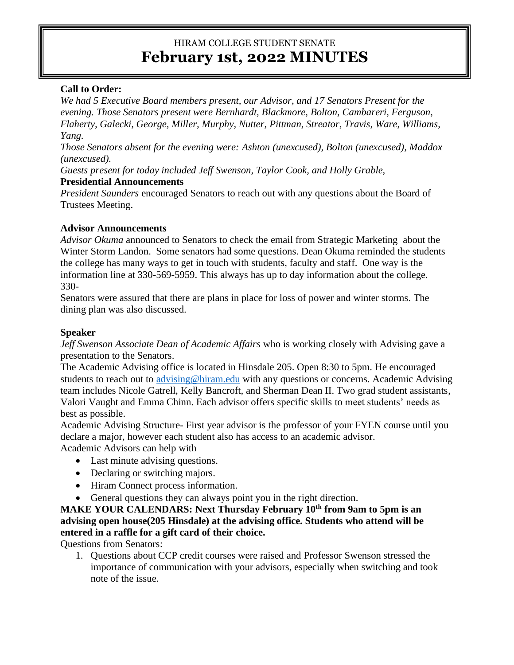# HIRAM COLLEGE STUDENT SENATE **February 1st, 2022 MINUTES**

# **Call to Order:**

*We had 5 Executive Board members present, our Advisor, and 17 Senators Present for the evening. Those Senators present were Bernhardt, Blackmore, Bolton, Cambareri, Ferguson, Flaherty, Galecki, George, Miller, Murphy, Nutter, Pittman, Streator, Travis, Ware, Williams, Yang.* 

*Those Senators absent for the evening were: Ashton (unexcused), Bolton (unexcused), Maddox (unexcused).* 

*Guests present for today included Jeff Swenson, Taylor Cook, and Holly Grable,* 

# **Presidential Announcements**

*President Saunders* encouraged Senators to reach out with any questions about the Board of Trustees Meeting.

# **Advisor Announcements**

*Advisor Okuma* announced to Senators to check the email from Strategic Marketing about the Winter Storm Landon. Some senators had some questions. Dean Okuma reminded the students the college has many ways to get in touch with students, faculty and staff. One way is the information line at 330-569-5959. This always has up to day information about the college. 330-

Senators were assured that there are plans in place for loss of power and winter storms. The dining plan was also discussed.

# **Speaker**

*Jeff Swenson Associate Dean of Academic Affairs* who is working closely with Advising gave a presentation to the Senators.

The Academic Advising office is located in Hinsdale 205. Open 8:30 to 5pm. He encouraged students to reach out to [advising@hiram.edu](mailto:advising@hiram.edu) with any questions or concerns. Academic Advising team includes Nicole Gatrell, Kelly Bancroft, and Sherman Dean II. Two grad student assistants, Valori Vaught and Emma Chinn. Each advisor offers specific skills to meet students' needs as best as possible.

Academic Advising Structure- First year advisor is the professor of your FYEN course until you declare a major, however each student also has access to an academic advisor.

Academic Advisors can help with

- Last minute advising questions.
- Declaring or switching majors.
- Hiram Connect process information.
- General questions they can always point you in the right direction.

**MAKE YOUR CALENDARS: Next Thursday February 10th from 9am to 5pm is an advising open house(205 Hinsdale) at the advising office. Students who attend will be entered in a raffle for a gift card of their choice.**

Questions from Senators:

1. Questions about CCP credit courses were raised and Professor Swenson stressed the importance of communication with your advisors, especially when switching and took note of the issue.